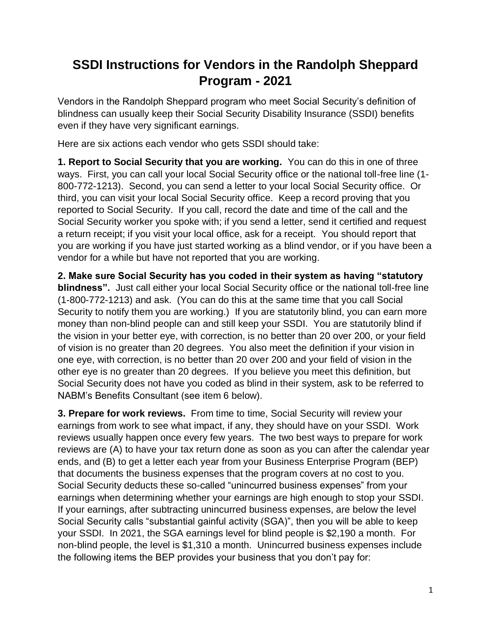## **SSDI Instructions for Vendors in the Randolph Sheppard Program - 2021**

Vendors in the Randolph Sheppard program who meet Social Security's definition of blindness can usually keep their Social Security Disability Insurance (SSDI) benefits even if they have very significant earnings.

Here are six actions each vendor who gets SSDI should take:

**1. Report to Social Security that you are working.** You can do this in one of three ways. First, you can call your local Social Security office or the national toll-free line (1- 800-772-1213). Second, you can send a letter to your local Social Security office. Or third, you can visit your local Social Security office. Keep a record proving that you reported to Social Security. If you call, record the date and time of the call and the Social Security worker you spoke with; if you send a letter, send it certified and request a return receipt; if you visit your local office, ask for a receipt. You should report that you are working if you have just started working as a blind vendor, or if you have been a vendor for a while but have not reported that you are working.

**2. Make sure Social Security has you coded in their system as having "statutory blindness".** Just call either your local Social Security office or the national toll-free line (1-800-772-1213) and ask. (You can do this at the same time that you call Social Security to notify them you are working.) If you are statutorily blind, you can earn more money than non-blind people can and still keep your SSDI. You are statutorily blind if the vision in your better eye, with correction, is no better than 20 over 200, or your field of vision is no greater than 20 degrees. You also meet the definition if your vision in one eye, with correction, is no better than 20 over 200 and your field of vision in the other eye is no greater than 20 degrees. If you believe you meet this definition, but Social Security does not have you coded as blind in their system, ask to be referred to NABM's Benefits Consultant (see item 6 below).

**3. Prepare for work reviews.** From time to time, Social Security will review your earnings from work to see what impact, if any, they should have on your SSDI. Work reviews usually happen once every few years. The two best ways to prepare for work reviews are (A) to have your tax return done as soon as you can after the calendar year ends, and (B) to get a letter each year from your Business Enterprise Program (BEP) that documents the business expenses that the program covers at no cost to you. Social Security deducts these so-called "unincurred business expenses" from your earnings when determining whether your earnings are high enough to stop your SSDI. If your earnings, after subtracting unincurred business expenses, are below the level Social Security calls "substantial gainful activity (SGA)", then you will be able to keep your SSDI. In 2021, the SGA earnings level for blind people is \$2,190 a month. For non-blind people, the level is \$1,310 a month. Unincurred business expenses include the following items the BEP provides your business that you don't pay for: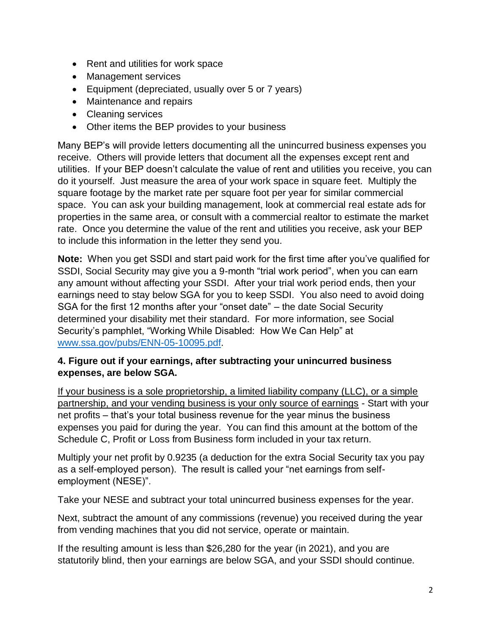- Rent and utilities for work space
- Management services
- Equipment (depreciated, usually over 5 or 7 years)
- Maintenance and repairs
- Cleaning services
- Other items the BEP provides to your business

Many BEP's will provide letters documenting all the unincurred business expenses you receive. Others will provide letters that document all the expenses except rent and utilities. If your BEP doesn't calculate the value of rent and utilities you receive, you can do it yourself. Just measure the area of your work space in square feet. Multiply the square footage by the market rate per square foot per year for similar commercial space. You can ask your building management, look at commercial real estate ads for properties in the same area, or consult with a commercial realtor to estimate the market rate. Once you determine the value of the rent and utilities you receive, ask your BEP to include this information in the letter they send you.

**Note:** When you get SSDI and start paid work for the first time after you've qualified for SSDI, Social Security may give you a 9-month "trial work period", when you can earn any amount without affecting your SSDI. After your trial work period ends, then your earnings need to stay below SGA for you to keep SSDI. You also need to avoid doing SGA for the first 12 months after your "onset date" – the date Social Security determined your disability met their standard. For more information, see Social Security's pamphlet, "Working While Disabled: How We Can Help" at [www.ssa.gov/pubs/ENN-05-10095.pdf.](http://www.ssa.gov/pubs/ENN-05-10095.pdf)

## **4. Figure out if your earnings, after subtracting your unincurred business expenses, are below SGA.**

If your business is a sole proprietorship, a limited liability company (LLC), or a simple partnership, and your vending business is your only source of earnings - Start with your net profits – that's your total business revenue for the year minus the business expenses you paid for during the year. You can find this amount at the bottom of the Schedule C, Profit or Loss from Business form included in your tax return.

Multiply your net profit by 0.9235 (a deduction for the extra Social Security tax you pay as a self-employed person). The result is called your "net earnings from selfemployment (NESE)".

Take your NESE and subtract your total unincurred business expenses for the year.

Next, subtract the amount of any commissions (revenue) you received during the year from vending machines that you did not service, operate or maintain.

If the resulting amount is less than \$26,280 for the year (in 2021), and you are statutorily blind, then your earnings are below SGA, and your SSDI should continue.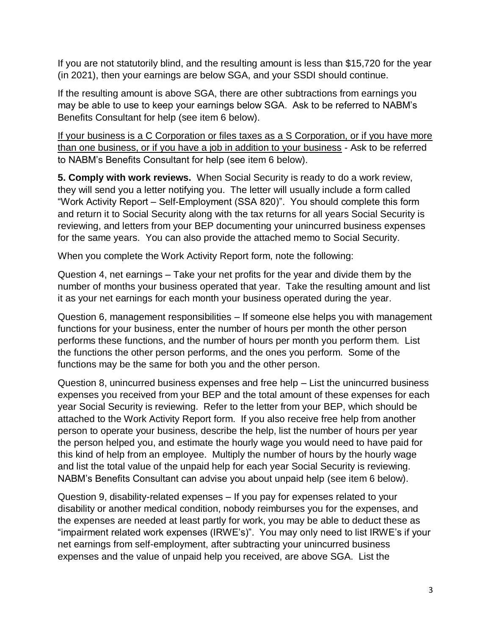If you are not statutorily blind, and the resulting amount is less than \$15,720 for the year (in 2021), then your earnings are below SGA, and your SSDI should continue.

If the resulting amount is above SGA, there are other subtractions from earnings you may be able to use to keep your earnings below SGA. Ask to be referred to NABM's Benefits Consultant for help (see item 6 below).

If your business is a C Corporation or files taxes as a S Corporation, or if you have more than one business, or if you have a job in addition to your business - Ask to be referred to NABM's Benefits Consultant for help (see item 6 below).

**5. Comply with work reviews.** When Social Security is ready to do a work review, they will send you a letter notifying you. The letter will usually include a form called "Work Activity Report – Self-Employment (SSA 820)". You should complete this form and return it to Social Security along with the tax returns for all years Social Security is reviewing, and letters from your BEP documenting your unincurred business expenses for the same years. You can also provide the attached memo to Social Security.

When you complete the Work Activity Report form, note the following:

Question 4, net earnings – Take your net profits for the year and divide them by the number of months your business operated that year. Take the resulting amount and list it as your net earnings for each month your business operated during the year.

Question 6, management responsibilities – If someone else helps you with management functions for your business, enter the number of hours per month the other person performs these functions, and the number of hours per month you perform them. List the functions the other person performs, and the ones you perform. Some of the functions may be the same for both you and the other person.

Question 8, unincurred business expenses and free help – List the unincurred business expenses you received from your BEP and the total amount of these expenses for each year Social Security is reviewing. Refer to the letter from your BEP, which should be attached to the Work Activity Report form. If you also receive free help from another person to operate your business, describe the help, list the number of hours per year the person helped you, and estimate the hourly wage you would need to have paid for this kind of help from an employee. Multiply the number of hours by the hourly wage and list the total value of the unpaid help for each year Social Security is reviewing. NABM's Benefits Consultant can advise you about unpaid help (see item 6 below).

Question 9, disability-related expenses – If you pay for expenses related to your disability or another medical condition, nobody reimburses you for the expenses, and the expenses are needed at least partly for work, you may be able to deduct these as "impairment related work expenses (IRWE's)". You may only need to list IRWE's if your net earnings from self-employment, after subtracting your unincurred business expenses and the value of unpaid help you received, are above SGA. List the